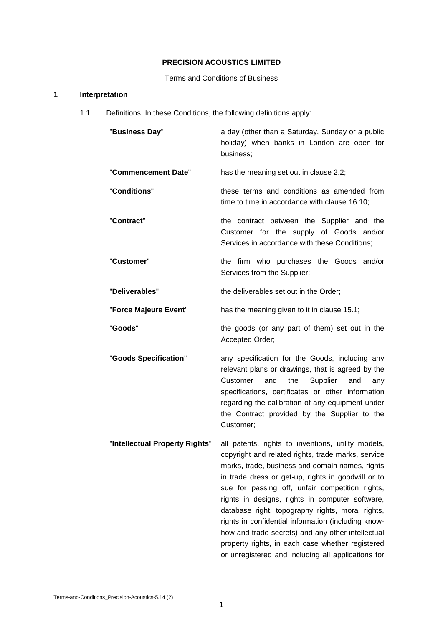# **PRECISION ACOUSTICS LIMITED**

Terms and Conditions of Business

# **1 Interpretation**

1.1 Definitions. In these Conditions, the following definitions apply:

| "Business Day"                 | a day (other than a Saturday, Sunday or a public<br>holiday) when banks in London are open for<br>business;                                                                                                                                                                                                                                                                                                                                                                                                                                                                                       |
|--------------------------------|---------------------------------------------------------------------------------------------------------------------------------------------------------------------------------------------------------------------------------------------------------------------------------------------------------------------------------------------------------------------------------------------------------------------------------------------------------------------------------------------------------------------------------------------------------------------------------------------------|
| "Commencement Date"            | has the meaning set out in clause 2.2;                                                                                                                                                                                                                                                                                                                                                                                                                                                                                                                                                            |
| "Conditions"                   | these terms and conditions as amended from<br>time to time in accordance with clause 16.10;                                                                                                                                                                                                                                                                                                                                                                                                                                                                                                       |
| "Contract"                     | the contract between the Supplier and the<br>Customer for the supply of Goods and/or<br>Services in accordance with these Conditions;                                                                                                                                                                                                                                                                                                                                                                                                                                                             |
| "Customer"                     | the firm who purchases the Goods and/or<br>Services from the Supplier;                                                                                                                                                                                                                                                                                                                                                                                                                                                                                                                            |
| "Deliverables"                 | the deliverables set out in the Order;                                                                                                                                                                                                                                                                                                                                                                                                                                                                                                                                                            |
| "Force Majeure Event"          | has the meaning given to it in clause 15.1;                                                                                                                                                                                                                                                                                                                                                                                                                                                                                                                                                       |
| "Goods"                        | the goods (or any part of them) set out in the<br>Accepted Order;                                                                                                                                                                                                                                                                                                                                                                                                                                                                                                                                 |
| "Goods Specification"          | any specification for the Goods, including any<br>relevant plans or drawings, that is agreed by the<br>Customer<br>and<br>the<br>Supplier<br>and<br>any<br>specifications, certificates or other information<br>regarding the calibration of any equipment under<br>the Contract provided by the Supplier to the<br>Customer;                                                                                                                                                                                                                                                                     |
| "Intellectual Property Rights" | all patents, rights to inventions, utility models,<br>copyright and related rights, trade marks, service<br>marks, trade, business and domain names, rights<br>in trade dress or get-up, rights in goodwill or to<br>sue for passing off, unfair competition rights,<br>rights in designs, rights in computer software,<br>database right, topography rights, moral rights,<br>rights in confidential information (including know-<br>how and trade secrets) and any other intellectual<br>property rights, in each case whether registered<br>or unregistered and including all applications for |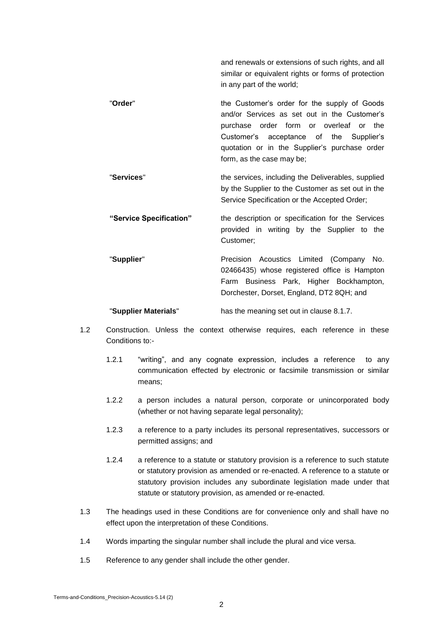and renewals or extensions of such rights, and all similar or equivalent rights or forms of protection in any part of the world;

- "Order" **the Customer's order for the supply of Goods** and/or Services as set out in the Customer's purchase order form or overleaf or the Customer's acceptance of the Supplier's quotation or in the Supplier's purchase order form, as the case may be;
- "**Services**" the services, including the Deliverables, supplied by the Supplier to the Customer as set out in the Service Specification or the Accepted Order;
	- **"Service Specification"** the description or specification for the Services provided in writing by the Supplier to the Customer;
	- "**Supplier**" Precision Acoustics Limited (Company No. 02466435) whose registered office is Hampton Farm Business Park, Higher Bockhampton, Dorchester, Dorset, England, DT2 8QH; and

"**Supplier Materials**" has the meaning set out in clause 8.1.7.

- 1.2 Construction. Unless the context otherwise requires, each reference in these Conditions to:-
	- 1.2.1 "writing", and any cognate expression, includes a reference to any communication effected by electronic or facsimile transmission or similar means;
	- 1.2.2 a person includes a natural person, corporate or unincorporated body (whether or not having separate legal personality);
	- 1.2.3 a reference to a party includes its personal representatives, successors or permitted assigns; and
	- 1.2.4 a reference to a statute or statutory provision is a reference to such statute or statutory provision as amended or re-enacted. A reference to a statute or statutory provision includes any subordinate legislation made under that statute or statutory provision, as amended or re-enacted.
- 1.3 The headings used in these Conditions are for convenience only and shall have no effect upon the interpretation of these Conditions.
- 1.4 Words imparting the singular number shall include the plural and vice versa.
- 1.5 Reference to any gender shall include the other gender.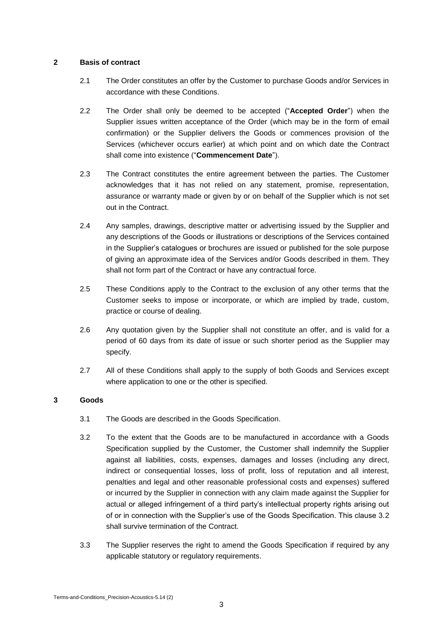### **2 Basis of contract**

- 2.1 The Order constitutes an offer by the Customer to purchase Goods and/or Services in accordance with these Conditions.
- 2.2 The Order shall only be deemed to be accepted ("**Accepted Order**") when the Supplier issues written acceptance of the Order (which may be in the form of email confirmation) or the Supplier delivers the Goods or commences provision of the Services (whichever occurs earlier) at which point and on which date the Contract shall come into existence ("**Commencement Date**").
- 2.3 The Contract constitutes the entire agreement between the parties. The Customer acknowledges that it has not relied on any statement, promise, representation, assurance or warranty made or given by or on behalf of the Supplier which is not set out in the Contract.
- 2.4 Any samples, drawings, descriptive matter or advertising issued by the Supplier and any descriptions of the Goods or illustrations or descriptions of the Services contained in the Supplier's catalogues or brochures are issued or published for the sole purpose of giving an approximate idea of the Services and/or Goods described in them. They shall not form part of the Contract or have any contractual force.
- 2.5 These Conditions apply to the Contract to the exclusion of any other terms that the Customer seeks to impose or incorporate, or which are implied by trade, custom, practice or course of dealing.
- 2.6 Any quotation given by the Supplier shall not constitute an offer, and is valid for a period of 60 days from its date of issue or such shorter period as the Supplier may specify.
- 2.7 All of these Conditions shall apply to the supply of both Goods and Services except where application to one or the other is specified.

# **3 Goods**

- 3.1 The Goods are described in the Goods Specification.
- 3.2 To the extent that the Goods are to be manufactured in accordance with a Goods Specification supplied by the Customer, the Customer shall indemnify the Supplier against all liabilities, costs, expenses, damages and losses (including any direct, indirect or consequential losses, loss of profit, loss of reputation and all interest, penalties and legal and other reasonable professional costs and expenses) suffered or incurred by the Supplier in connection with any claim made against the Supplier for actual or alleged infringement of a third party's intellectual property rights arising out of or in connection with the Supplier's use of the Goods Specification. This clause 3.2 shall survive termination of the Contract.
- 3.3 The Supplier reserves the right to amend the Goods Specification if required by any applicable statutory or regulatory requirements.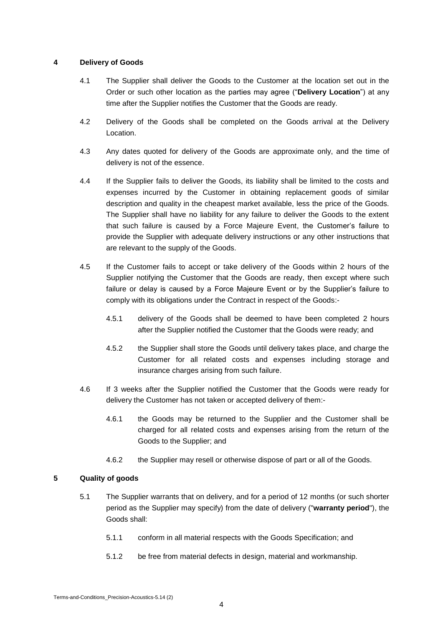## **4 Delivery of Goods**

- 4.1 The Supplier shall deliver the Goods to the Customer at the location set out in the Order or such other location as the parties may agree ("**Delivery Location**") at any time after the Supplier notifies the Customer that the Goods are ready.
- 4.2 Delivery of the Goods shall be completed on the Goods arrival at the Delivery Location.
- 4.3 Any dates quoted for delivery of the Goods are approximate only, and the time of delivery is not of the essence.
- 4.4 If the Supplier fails to deliver the Goods, its liability shall be limited to the costs and expenses incurred by the Customer in obtaining replacement goods of similar description and quality in the cheapest market available, less the price of the Goods. The Supplier shall have no liability for any failure to deliver the Goods to the extent that such failure is caused by a Force Majeure Event, the Customer's failure to provide the Supplier with adequate delivery instructions or any other instructions that are relevant to the supply of the Goods.
- 4.5 If the Customer fails to accept or take delivery of the Goods within 2 hours of the Supplier notifying the Customer that the Goods are ready, then except where such failure or delay is caused by a Force Majeure Event or by the Supplier's failure to comply with its obligations under the Contract in respect of the Goods:-
	- 4.5.1 delivery of the Goods shall be deemed to have been completed 2 hours after the Supplier notified the Customer that the Goods were ready; and
	- 4.5.2 the Supplier shall store the Goods until delivery takes place, and charge the Customer for all related costs and expenses including storage and insurance charges arising from such failure.
- 4.6 If 3 weeks after the Supplier notified the Customer that the Goods were ready for delivery the Customer has not taken or accepted delivery of them:-
	- 4.6.1 the Goods may be returned to the Supplier and the Customer shall be charged for all related costs and expenses arising from the return of the Goods to the Supplier; and
	- 4.6.2 the Supplier may resell or otherwise dispose of part or all of the Goods.

# **5 Quality of goods**

- 5.1 The Supplier warrants that on delivery, and for a period of 12 months (or such shorter period as the Supplier may specify) from the date of delivery ("**warranty period**"), the Goods shall:
	- 5.1.1 conform in all material respects with the Goods Specification; and
	- 5.1.2 be free from material defects in design, material and workmanship.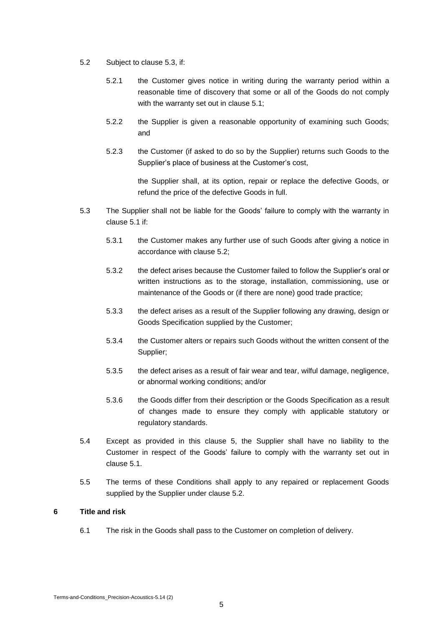- 5.2 Subject to clause 5.3, if:
	- 5.2.1 the Customer gives notice in writing during the warranty period within a reasonable time of discovery that some or all of the Goods do not comply with the warranty set out in clause 5.1;
	- 5.2.2 the Supplier is given a reasonable opportunity of examining such Goods; and
	- 5.2.3 the Customer (if asked to do so by the Supplier) returns such Goods to the Supplier's place of business at the Customer's cost,

the Supplier shall, at its option, repair or replace the defective Goods, or refund the price of the defective Goods in full.

- 5.3 The Supplier shall not be liable for the Goods' failure to comply with the warranty in clause 5.1 if:
	- 5.3.1 the Customer makes any further use of such Goods after giving a notice in accordance with clause 5.2;
	- 5.3.2 the defect arises because the Customer failed to follow the Supplier's oral or written instructions as to the storage, installation, commissioning, use or maintenance of the Goods or (if there are none) good trade practice;
	- 5.3.3 the defect arises as a result of the Supplier following any drawing, design or Goods Specification supplied by the Customer;
	- 5.3.4 the Customer alters or repairs such Goods without the written consent of the Supplier;
	- 5.3.5 the defect arises as a result of fair wear and tear, wilful damage, negligence, or abnormal working conditions; and/or
	- 5.3.6 the Goods differ from their description or the Goods Specification as a result of changes made to ensure they comply with applicable statutory or regulatory standards.
- 5.4 Except as provided in this clause 5, the Supplier shall have no liability to the Customer in respect of the Goods' failure to comply with the warranty set out in clause 5.1.
- 5.5 The terms of these Conditions shall apply to any repaired or replacement Goods supplied by the Supplier under clause 5.2.

### **6 Title and risk**

6.1 The risk in the Goods shall pass to the Customer on completion of delivery.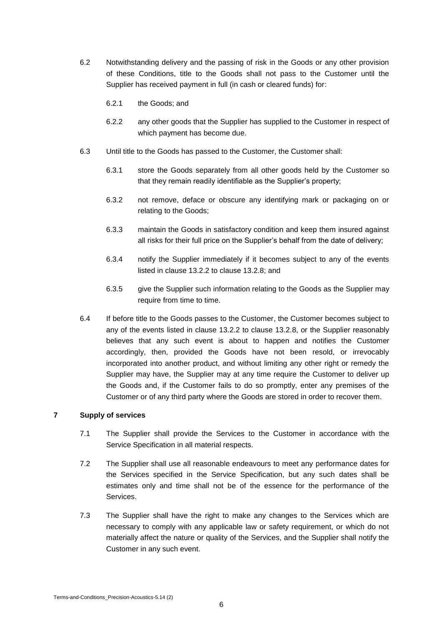- 6.2 Notwithstanding delivery and the passing of risk in the Goods or any other provision of these Conditions, title to the Goods shall not pass to the Customer until the Supplier has received payment in full (in cash or cleared funds) for:
	- 6.2.1 the Goods; and
	- 6.2.2 any other goods that the Supplier has supplied to the Customer in respect of which payment has become due.
- 6.3 Until title to the Goods has passed to the Customer, the Customer shall:
	- 6.3.1 store the Goods separately from all other goods held by the Customer so that they remain readily identifiable as the Supplier's property;
	- 6.3.2 not remove, deface or obscure any identifying mark or packaging on or relating to the Goods;
	- 6.3.3 maintain the Goods in satisfactory condition and keep them insured against all risks for their full price on the Supplier's behalf from the date of delivery;
	- 6.3.4 notify the Supplier immediately if it becomes subject to any of the events listed in clause 13.2.2 to clause 13.2.8; and
	- 6.3.5 give the Supplier such information relating to the Goods as the Supplier may require from time to time.
- 6.4 If before title to the Goods passes to the Customer, the Customer becomes subject to any of the events listed in clause 13.2.2 to clause 13.2.8, or the Supplier reasonably believes that any such event is about to happen and notifies the Customer accordingly, then, provided the Goods have not been resold, or irrevocably incorporated into another product, and without limiting any other right or remedy the Supplier may have, the Supplier may at any time require the Customer to deliver up the Goods and, if the Customer fails to do so promptly, enter any premises of the Customer or of any third party where the Goods are stored in order to recover them.

## **7 Supply of services**

- 7.1 The Supplier shall provide the Services to the Customer in accordance with the Service Specification in all material respects.
- 7.2 The Supplier shall use all reasonable endeavours to meet any performance dates for the Services specified in the Service Specification, but any such dates shall be estimates only and time shall not be of the essence for the performance of the Services.
- 7.3 The Supplier shall have the right to make any changes to the Services which are necessary to comply with any applicable law or safety requirement, or which do not materially affect the nature or quality of the Services, and the Supplier shall notify the Customer in any such event.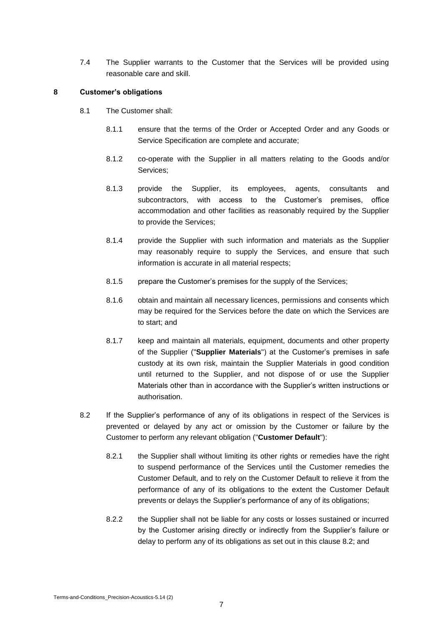7.4 The Supplier warrants to the Customer that the Services will be provided using reasonable care and skill.

#### **8 Customer's obligations**

- 8.1 The Customer shall:
	- 8.1.1 ensure that the terms of the Order or Accepted Order and any Goods or Service Specification are complete and accurate;
	- 8.1.2 co-operate with the Supplier in all matters relating to the Goods and/or Services;
	- 8.1.3 provide the Supplier, its employees, agents, consultants and subcontractors, with access to the Customer's premises, office accommodation and other facilities as reasonably required by the Supplier to provide the Services;
	- 8.1.4 provide the Supplier with such information and materials as the Supplier may reasonably require to supply the Services, and ensure that such information is accurate in all material respects;
	- 8.1.5 prepare the Customer's premises for the supply of the Services;
	- 8.1.6 obtain and maintain all necessary licences, permissions and consents which may be required for the Services before the date on which the Services are to start; and
	- 8.1.7 keep and maintain all materials, equipment, documents and other property of the Supplier ("**Supplier Materials**") at the Customer's premises in safe custody at its own risk, maintain the Supplier Materials in good condition until returned to the Supplier, and not dispose of or use the Supplier Materials other than in accordance with the Supplier's written instructions or authorisation.
- 8.2 If the Supplier's performance of any of its obligations in respect of the Services is prevented or delayed by any act or omission by the Customer or failure by the Customer to perform any relevant obligation ("**Customer Default**"):
	- 8.2.1 the Supplier shall without limiting its other rights or remedies have the right to suspend performance of the Services until the Customer remedies the Customer Default, and to rely on the Customer Default to relieve it from the performance of any of its obligations to the extent the Customer Default prevents or delays the Supplier's performance of any of its obligations;
	- 8.2.2 the Supplier shall not be liable for any costs or losses sustained or incurred by the Customer arising directly or indirectly from the Supplier's failure or delay to perform any of its obligations as set out in this clause 8.2; and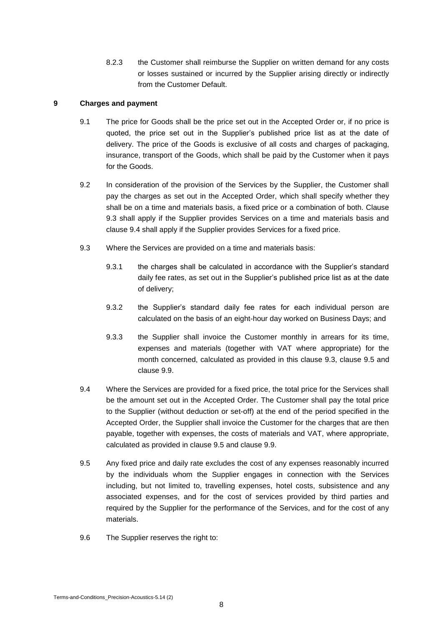8.2.3 the Customer shall reimburse the Supplier on written demand for any costs or losses sustained or incurred by the Supplier arising directly or indirectly from the Customer Default.

## **9 Charges and payment**

- 9.1 The price for Goods shall be the price set out in the Accepted Order or, if no price is quoted, the price set out in the Supplier's published price list as at the date of delivery. The price of the Goods is exclusive of all costs and charges of packaging, insurance, transport of the Goods, which shall be paid by the Customer when it pays for the Goods.
- 9.2 In consideration of the provision of the Services by the Supplier, the Customer shall pay the charges as set out in the Accepted Order, which shall specify whether they shall be on a time and materials basis, a fixed price or a combination of both. Clause 9.3 shall apply if the Supplier provides Services on a time and materials basis and clause 9.4 shall apply if the Supplier provides Services for a fixed price.
- 9.3 Where the Services are provided on a time and materials basis:
	- 9.3.1 the charges shall be calculated in accordance with the Supplier's standard daily fee rates, as set out in the Supplier's published price list as at the date of delivery;
	- 9.3.2 the Supplier's standard daily fee rates for each individual person are calculated on the basis of an eight-hour day worked on Business Days; and
	- 9.3.3 the Supplier shall invoice the Customer monthly in arrears for its time, expenses and materials (together with VAT where appropriate) for the month concerned, calculated as provided in this clause 9.3, clause 9.5 and clause 9.9.
- 9.4 Where the Services are provided for a fixed price, the total price for the Services shall be the amount set out in the Accepted Order. The Customer shall pay the total price to the Supplier (without deduction or set-off) at the end of the period specified in the Accepted Order, the Supplier shall invoice the Customer for the charges that are then payable, together with expenses, the costs of materials and VAT, where appropriate, calculated as provided in clause 9.5 and clause 9.9.
- 9.5 Any fixed price and daily rate excludes the cost of any expenses reasonably incurred by the individuals whom the Supplier engages in connection with the Services including, but not limited to, travelling expenses, hotel costs, subsistence and any associated expenses, and for the cost of services provided by third parties and required by the Supplier for the performance of the Services, and for the cost of any materials.
- 9.6 The Supplier reserves the right to: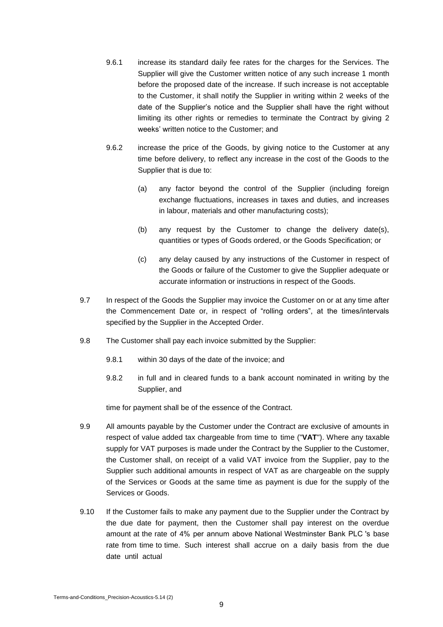- 9.6.1 increase its standard daily fee rates for the charges for the Services. The Supplier will give the Customer written notice of any such increase 1 month before the proposed date of the increase. If such increase is not acceptable to the Customer, it shall notify the Supplier in writing within 2 weeks of the date of the Supplier's notice and the Supplier shall have the right without limiting its other rights or remedies to terminate the Contract by giving 2 weeks' written notice to the Customer; and
- 9.6.2 increase the price of the Goods, by giving notice to the Customer at any time before delivery, to reflect any increase in the cost of the Goods to the Supplier that is due to:
	- (a) any factor beyond the control of the Supplier (including foreign exchange fluctuations, increases in taxes and duties, and increases in labour, materials and other manufacturing costs);
	- (b) any request by the Customer to change the delivery date(s), quantities or types of Goods ordered, or the Goods Specification; or
	- (c) any delay caused by any instructions of the Customer in respect of the Goods or failure of the Customer to give the Supplier adequate or accurate information or instructions in respect of the Goods.
- 9.7 In respect of the Goods the Supplier may invoice the Customer on or at any time after the Commencement Date or, in respect of "rolling orders", at the times/intervals specified by the Supplier in the Accepted Order.
- 9.8 The Customer shall pay each invoice submitted by the Supplier:
	- 9.8.1 within 30 days of the date of the invoice; and
	- 9.8.2 in full and in cleared funds to a bank account nominated in writing by the Supplier, and

time for payment shall be of the essence of the Contract.

- 9.9 All amounts payable by the Customer under the Contract are exclusive of amounts in respect of value added tax chargeable from time to time ("**VAT**"). Where any taxable supply for VAT purposes is made under the Contract by the Supplier to the Customer, the Customer shall, on receipt of a valid VAT invoice from the Supplier, pay to the Supplier such additional amounts in respect of VAT as are chargeable on the supply of the Services or Goods at the same time as payment is due for the supply of the Services or Goods.
- 9.10 If the Customer fails to make any payment due to the Supplier under the Contract by the due date for payment, then the Customer shall pay interest on the overdue amount at the rate of 4% per annum above National Westminster Bank PLC 's base rate from time to time. Such interest shall accrue on a daily basis from the due date until actual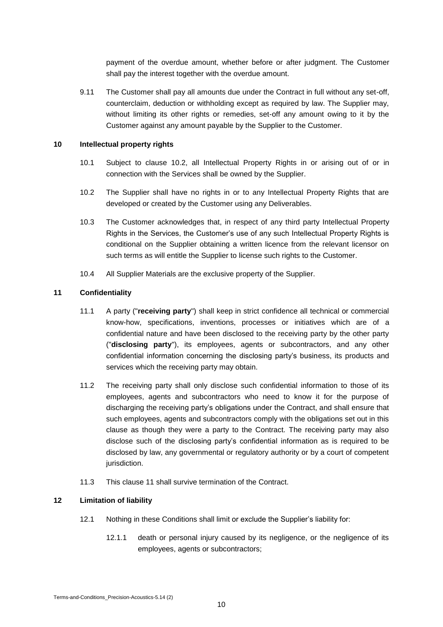payment of the overdue amount, whether before or after judgment. The Customer shall pay the interest together with the overdue amount.

9.11 The Customer shall pay all amounts due under the Contract in full without any set-off, counterclaim, deduction or withholding except as required by law. The Supplier may, without limiting its other rights or remedies, set-off any amount owing to it by the Customer against any amount payable by the Supplier to the Customer.

#### **10 Intellectual property rights**

- 10.1 Subject to clause 10.2, all Intellectual Property Rights in or arising out of or in connection with the Services shall be owned by the Supplier.
- 10.2 The Supplier shall have no rights in or to any Intellectual Property Rights that are developed or created by the Customer using any Deliverables.
- 10.3 The Customer acknowledges that, in respect of any third party Intellectual Property Rights in the Services, the Customer's use of any such Intellectual Property Rights is conditional on the Supplier obtaining a written licence from the relevant licensor on such terms as will entitle the Supplier to license such rights to the Customer.
- 10.4 All Supplier Materials are the exclusive property of the Supplier.

## **11 Confidentiality**

- 11.1 A party ("**receiving party**") shall keep in strict confidence all technical or commercial know-how, specifications, inventions, processes or initiatives which are of a confidential nature and have been disclosed to the receiving party by the other party ("**disclosing party**"), its employees, agents or subcontractors, and any other confidential information concerning the disclosing party's business, its products and services which the receiving party may obtain.
- 11.2 The receiving party shall only disclose such confidential information to those of its employees, agents and subcontractors who need to know it for the purpose of discharging the receiving party's obligations under the Contract, and shall ensure that such employees, agents and subcontractors comply with the obligations set out in this clause as though they were a party to the Contract. The receiving party may also disclose such of the disclosing party's confidential information as is required to be disclosed by law, any governmental or regulatory authority or by a court of competent jurisdiction.
- 11.3 This clause 11 shall survive termination of the Contract.

## **12 Limitation of liability**

- 12.1 Nothing in these Conditions shall limit or exclude the Supplier's liability for:
	- 12.1.1 death or personal injury caused by its negligence, or the negligence of its employees, agents or subcontractors;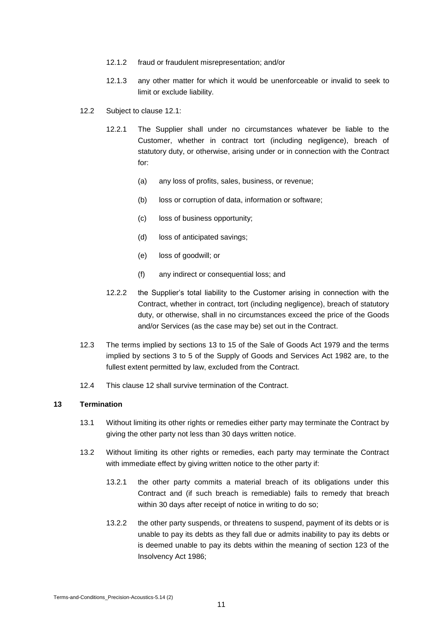- 12.1.2 fraud or fraudulent misrepresentation; and/or
- 12.1.3 any other matter for which it would be unenforceable or invalid to seek to limit or exclude liability.
- 12.2 Subject to clause 12.1:
	- 12.2.1 The Supplier shall under no circumstances whatever be liable to the Customer, whether in contract tort (including negligence), breach of statutory duty, or otherwise, arising under or in connection with the Contract for:
		- (a) any loss of profits, sales, business, or revenue;
		- (b) loss or corruption of data, information or software;
		- (c) loss of business opportunity;
		- (d) loss of anticipated savings;
		- (e) loss of goodwill; or
		- (f) any indirect or consequential loss; and
	- 12.2.2 the Supplier's total liability to the Customer arising in connection with the Contract, whether in contract, tort (including negligence), breach of statutory duty, or otherwise, shall in no circumstances exceed the price of the Goods and/or Services (as the case may be) set out in the Contract.
- 12.3 The terms implied by sections 13 to 15 of the Sale of Goods Act 1979 and the terms implied by sections 3 to 5 of the Supply of Goods and Services Act 1982 are, to the fullest extent permitted by law, excluded from the Contract.
- 12.4 This clause 12 shall survive termination of the Contract.

#### **13 Termination**

- 13.1 Without limiting its other rights or remedies either party may terminate the Contract by giving the other party not less than 30 days written notice.
- 13.2 Without limiting its other rights or remedies, each party may terminate the Contract with immediate effect by giving written notice to the other party if:
	- 13.2.1 the other party commits a material breach of its obligations under this Contract and (if such breach is remediable) fails to remedy that breach within 30 days after receipt of notice in writing to do so;
	- 13.2.2 the other party suspends, or threatens to suspend, payment of its debts or is unable to pay its debts as they fall due or admits inability to pay its debts or is deemed unable to pay its debts within the meaning of section 123 of the Insolvency Act 1986;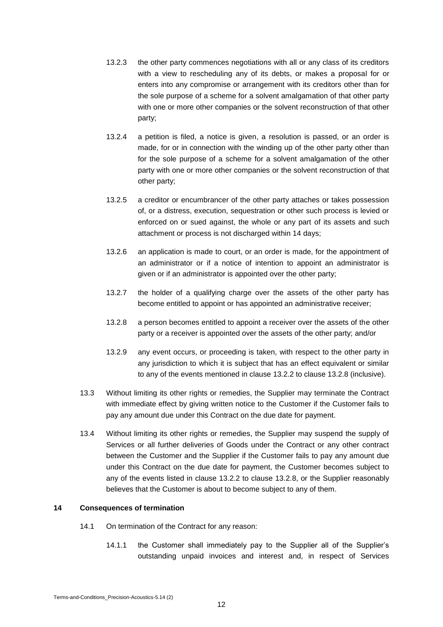- 13.2.3 the other party commences negotiations with all or any class of its creditors with a view to rescheduling any of its debts, or makes a proposal for or enters into any compromise or arrangement with its creditors other than for the sole purpose of a scheme for a solvent amalgamation of that other party with one or more other companies or the solvent reconstruction of that other party;
- 13.2.4 a petition is filed, a notice is given, a resolution is passed, or an order is made, for or in connection with the winding up of the other party other than for the sole purpose of a scheme for a solvent amalgamation of the other party with one or more other companies or the solvent reconstruction of that other party;
- 13.2.5 a creditor or encumbrancer of the other party attaches or takes possession of, or a distress, execution, sequestration or other such process is levied or enforced on or sued against, the whole or any part of its assets and such attachment or process is not discharged within 14 days;
- 13.2.6 an application is made to court, or an order is made, for the appointment of an administrator or if a notice of intention to appoint an administrator is given or if an administrator is appointed over the other party;
- 13.2.7 the holder of a qualifying charge over the assets of the other party has become entitled to appoint or has appointed an administrative receiver;
- 13.2.8 a person becomes entitled to appoint a receiver over the assets of the other party or a receiver is appointed over the assets of the other party; and/or
- 13.2.9 any event occurs, or proceeding is taken, with respect to the other party in any jurisdiction to which it is subject that has an effect equivalent or similar to any of the events mentioned in clause 13.2.2 to clause 13.2.8 (inclusive).
- 13.3 Without limiting its other rights or remedies, the Supplier may terminate the Contract with immediate effect by giving written notice to the Customer if the Customer fails to pay any amount due under this Contract on the due date for payment.
- 13.4 Without limiting its other rights or remedies, the Supplier may suspend the supply of Services or all further deliveries of Goods under the Contract or any other contract between the Customer and the Supplier if the Customer fails to pay any amount due under this Contract on the due date for payment, the Customer becomes subject to any of the events listed in clause 13.2.2 to clause 13.2.8, or the Supplier reasonably believes that the Customer is about to become subject to any of them.

#### **14 Consequences of termination**

- 14.1 On termination of the Contract for any reason:
	- 14.1.1 the Customer shall immediately pay to the Supplier all of the Supplier's outstanding unpaid invoices and interest and, in respect of Services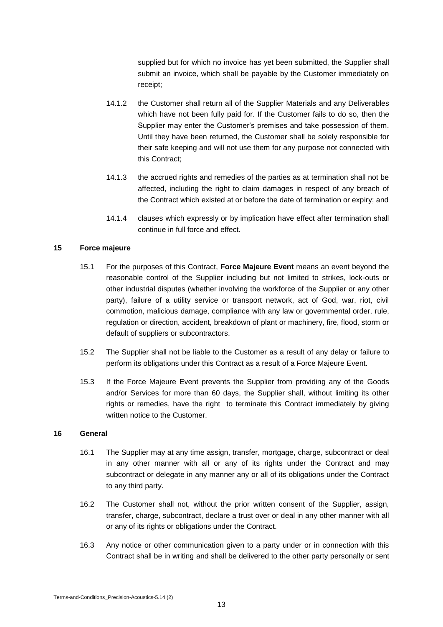supplied but for which no invoice has yet been submitted, the Supplier shall submit an invoice, which shall be payable by the Customer immediately on receipt;

- 14.1.2 the Customer shall return all of the Supplier Materials and any Deliverables which have not been fully paid for. If the Customer fails to do so, then the Supplier may enter the Customer's premises and take possession of them. Until they have been returned, the Customer shall be solely responsible for their safe keeping and will not use them for any purpose not connected with this Contract;
- 14.1.3 the accrued rights and remedies of the parties as at termination shall not be affected, including the right to claim damages in respect of any breach of the Contract which existed at or before the date of termination or expiry; and
- 14.1.4 clauses which expressly or by implication have effect after termination shall continue in full force and effect.

#### **15 Force majeure**

- 15.1 For the purposes of this Contract, **Force Majeure Event** means an event beyond the reasonable control of the Supplier including but not limited to strikes, lock-outs or other industrial disputes (whether involving the workforce of the Supplier or any other party), failure of a utility service or transport network, act of God, war, riot, civil commotion, malicious damage, compliance with any law or governmental order, rule, regulation or direction, accident, breakdown of plant or machinery, fire, flood, storm or default of suppliers or subcontractors.
- 15.2 The Supplier shall not be liable to the Customer as a result of any delay or failure to perform its obligations under this Contract as a result of a Force Majeure Event.
- 15.3 If the Force Majeure Event prevents the Supplier from providing any of the Goods and/or Services for more than 60 days, the Supplier shall, without limiting its other rights or remedies, have the right to terminate this Contract immediately by giving written notice to the Customer.

#### **16 General**

- 16.1 The Supplier may at any time assign, transfer, mortgage, charge, subcontract or deal in any other manner with all or any of its rights under the Contract and may subcontract or delegate in any manner any or all of its obligations under the Contract to any third party.
- 16.2 The Customer shall not, without the prior written consent of the Supplier, assign, transfer, charge, subcontract, declare a trust over or deal in any other manner with all or any of its rights or obligations under the Contract.
- 16.3 Any notice or other communication given to a party under or in connection with this Contract shall be in writing and shall be delivered to the other party personally or sent